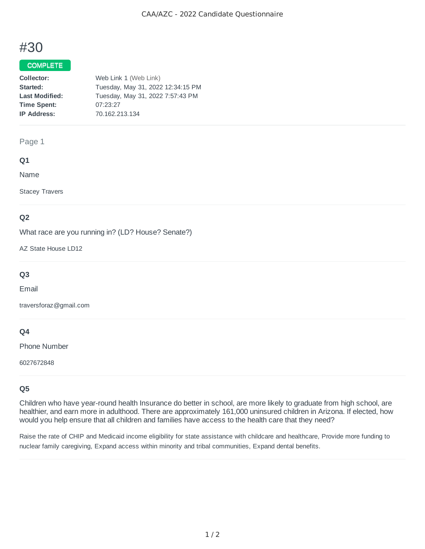# #30

## COMPLETE

| Web Link 1 (Web Link)             |
|-----------------------------------|
| Tuesday, May 31, 2022 12:34:15 PM |
| Tuesday, May 31, 2022 7:57:43 PM  |
| 07:23:27                          |
| 70.162.213.134                    |
|                                   |

#### Page 1

#### **Q1**

Name

Stacey Travers

## **Q2**

What race are you running in? (LD? House? Senate?)

AZ State House LD12

# **Q3**

Email

traversforaz@gmail.com

## **Q4**

Phone Number

6027672848

## **Q5**

Children who have year-round health Insurance do better in school, are more likely to graduate from high school, are healthier, and earn more in adulthood. There are approximately 161,000 uninsured children in Arizona. If elected, how would you help ensure that all children and families have access to the health care that they need?

Raise the rate of CHIP and Medicaid income eligibility for state assistance with childcare and healthcare, Provide more funding to nuclear family caregiving, Expand access within minority and tribal communities, Expand dental benefits.